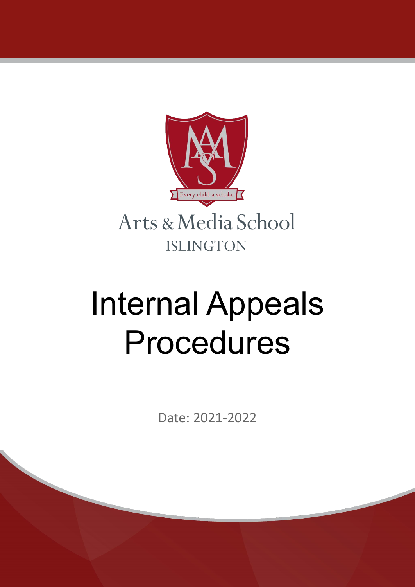

# Internal Appeals Procedures

Date: 2021-2022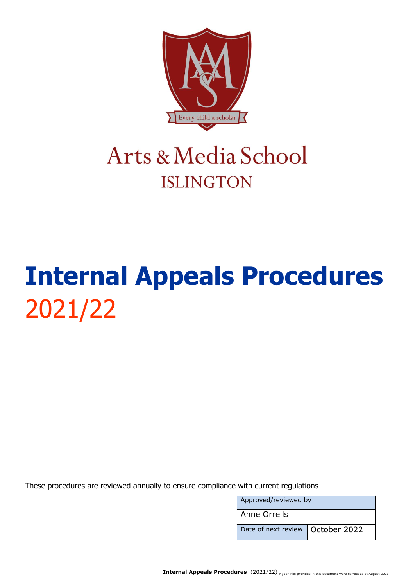

### Arts & Media School **ISLINGTON**

## **Internal Appeals Procedures** 2021/22

These procedures are reviewed annually to ensure compliance with current regulations

| Approved/reviewed by               |  |
|------------------------------------|--|
| Anne Orrells                       |  |
| Date of next review   October 2022 |  |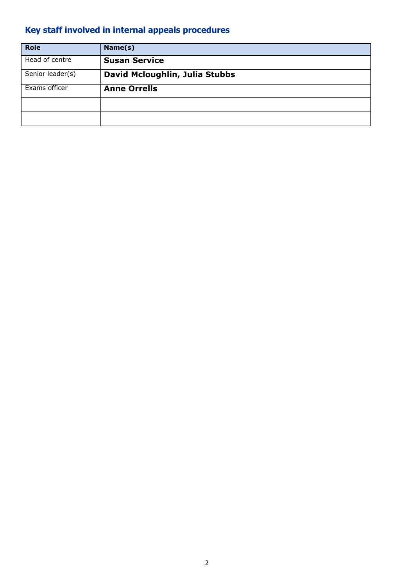#### <span id="page-2-0"></span>**Key staff involved in internal appeals procedures**

| <b>Role</b>      | Name(s)                        |
|------------------|--------------------------------|
| Head of centre   | <b>Susan Service</b>           |
| Senior leader(s) | David Mcloughlin, Julia Stubbs |
| Exams officer    | <b>Anne Orrells</b>            |
|                  |                                |
|                  |                                |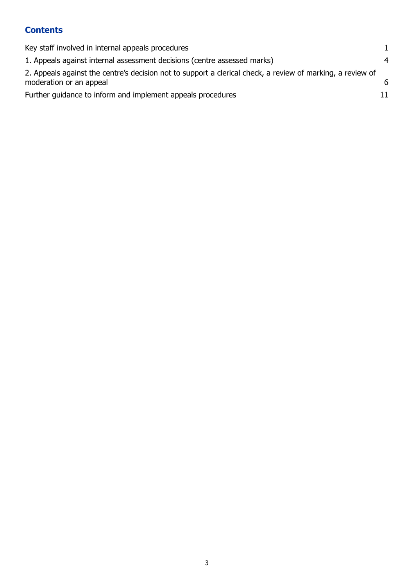#### **Contents**

| Key staff involved in internal appeals procedures                                                                                     |    |
|---------------------------------------------------------------------------------------------------------------------------------------|----|
| 1. Appeals against internal assessment decisions (centre assessed marks)                                                              | 4  |
| 2. Appeals against the centre's decision not to support a clerical check, a review of marking, a review of<br>moderation or an appeal | 6  |
| Further guidance to inform and implement appeals procedures                                                                           | 11 |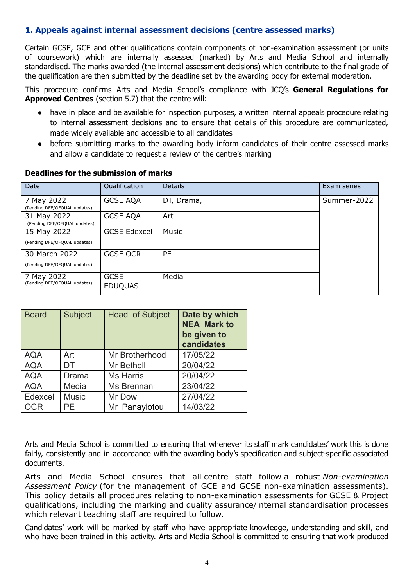#### <span id="page-4-0"></span>**1. Appeals against internal assessment decisions (centre assessed marks)**

Certain GCSE, GCE and other qualifications contain components of non-examination assessment (or units of coursework) which are internally assessed (marked) by Arts and Media School and internally standardised. The marks awarded (the internal assessment decisions) which contribute to the final grade of the qualification are then submitted by the deadline set by the awarding body for external moderation.

This procedure confirms Arts and Media School's compliance with JCQ's **General Regulations for Approved Centres** (section 5.7) that the centre will:

- have in place and be available for inspection purposes, a written internal appeals procedure relating to internal assessment decisions and to ensure that details of this procedure are communicated, made widely available and accessible to all candidates
- before submitting marks to the awarding body inform candidates of their centre assessed marks and allow a candidate to request a review of the centre's marking

| Date                                        | Qualification                 | <b>Details</b> | Exam series |
|---------------------------------------------|-------------------------------|----------------|-------------|
| 7 May 2022<br>(Pending DFE/OFQUAL updates)  | <b>GCSE AQA</b>               | DT, Drama,     | Summer-2022 |
| 31 May 2022<br>(Pending DFE/OFQUAL updates) | <b>GCSE AQA</b>               | Art            |             |
| 15 May 2022                                 | <b>GCSE Edexcel</b>           | Music          |             |
| (Pending DFE/OFQUAL updates)                |                               |                |             |
| 30 March 2022                               | <b>GCSE OCR</b>               | <b>PE</b>      |             |
| (Pending DFE/OFQUAL updates)                |                               |                |             |
| 7 May 2022<br>(Pending DFE/OFQUAL updates)  | <b>GCSE</b><br><b>EDUQUAS</b> | Media          |             |

#### **Deadlines for the submission of marks**

| <b>Board</b> | <b>Subject</b> | <b>Head of Subject</b> | Date by which<br><b>NEA Mark to</b><br>be given to<br>candidates |
|--------------|----------------|------------------------|------------------------------------------------------------------|
| <b>AQA</b>   | Art            | Mr Brotherhood         | 17/05/22                                                         |
| <b>AQA</b>   | DT             | Mr Bethell             | 20/04/22                                                         |
| <b>AQA</b>   | Drama          | <b>Ms Harris</b>       | 20/04/22                                                         |
| <b>AQA</b>   | Media          | Ms Brennan             | 23/04/22                                                         |
| Edexcel      | <b>Music</b>   | Mr Dow                 | 27/04/22                                                         |
| <b>OCR</b>   | PE             | Mr Panayiotou          | 14/03/22                                                         |

Arts and Media School is committed to ensuring that whenever its staff mark candidates' work this is done fairly, consistently and in accordance with the awarding body's specification and subject-specific associated documents.

Arts and Media School ensures that all centre staff follow a robust *Non-examination Assessment Policy* (for the management of GCE and GCSE non-examination assessments). This policy details all procedures relating to non-examination assessments for GCSE & Project qualifications, including the marking and quality assurance/internal standardisation processes which relevant teaching staff are required to follow.

Candidates' work will be marked by staff who have appropriate knowledge, understanding and skill, and who have been trained in this activity. Arts and Media School is committed to ensuring that work produced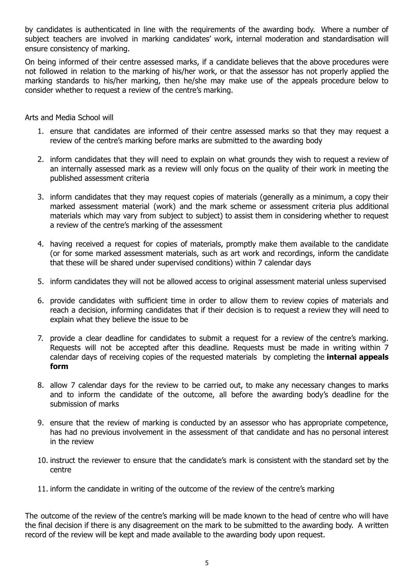by candidates is authenticated in line with the requirements of the awarding body. Where a number of subject teachers are involved in marking candidates' work, internal moderation and standardisation will ensure consistency of marking.

On being informed of their centre assessed marks, if a candidate believes that the above procedures were not followed in relation to the marking of his/her work, or that the assessor has not properly applied the marking standards to his/her marking, then he/she may make use of the appeals procedure below to consider whether to request a review of the centre's marking.

Arts and Media School will

- 1. ensure that candidates are informed of their centre assessed marks so that they may request a review of the centre's marking before marks are submitted to the awarding body
- 2. inform candidates that they will need to explain on what grounds they wish to request a review of an internally assessed mark as a review will only focus on the quality of their work in meeting the published assessment criteria
- 3. inform candidates that they may request copies of materials (generally as a minimum, a copy their marked assessment material (work) and the mark scheme or assessment criteria plus additional materials which may vary from subject to subject) to assist them in considering whether to request a review of the centre's marking of the assessment
- 4. having received a request for copies of materials, promptly make them available to the candidate (or for some marked assessment materials, such as art work and recordings, inform the candidate that these will be shared under supervised conditions) within 7 calendar days
- 5. inform candidates they will not be allowed access to original assessment material unless supervised
- 6. provide candidates with sufficient time in order to allow them to review copies of materials and reach a decision, informing candidates that if their decision is to request a review they will need to explain what they believe the issue to be
- 7. provide a clear deadline for candidates to submit a request for a review of the centre's marking. Requests will not be accepted after this deadline. Requests must be made in writing within 7 calendar days of receiving copies of the requested materials by completing the **internal appeals form**
- 8. allow 7 calendar days for the review to be carried out, to make any necessary changes to marks and to inform the candidate of the outcome, all before the awarding body's deadline for the submission of marks
- 9. ensure that the review of marking is conducted by an assessor who has appropriate competence, has had no previous involvement in the assessment of that candidate and has no personal interest in the review
- 10. instruct the reviewer to ensure that the candidate's mark is consistent with the standard set by the centre
- 11. inform the candidate in writing of the outcome of the review of the centre's marking

The outcome of the review of the centre's marking will be made known to the head of centre who will have the final decision if there is any disagreement on the mark to be submitted to the awarding body. A written record of the review will be kept and made available to the awarding body upon request.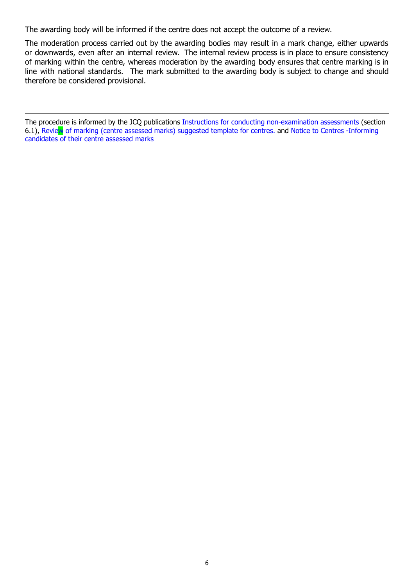The awarding body will be informed if the centre does not accept the outcome of a review.

The moderation process carried out by the awarding bodies may result in a mark change, either upwards or downwards, even after an internal review. The internal review process is in place to ensure consistency of marking within the centre, whereas moderation by the awarding body ensures that centre marking is in line with national standards. The mark submitted to the awarding body is subject to change and should therefore be considered provisional.

<span id="page-6-0"></span>The procedure is informed by the JCQ publications Instructions for conducting [non-examination](https://www.jcq.org.uk/exams-office/non-examination-assessments) assessments (section 6.1), Review of marking (centre assessed marks) [suggested](https://www.jcq.org.uk/exams-office/non-examination-assessments) template for centres. and Notice to Centres [-Informing](https://www.jcq.org.uk/exams-office/non-examination-assessments) [candidates](https://www.jcq.org.uk/exams-office/non-examination-assessments) of their centre assessed marks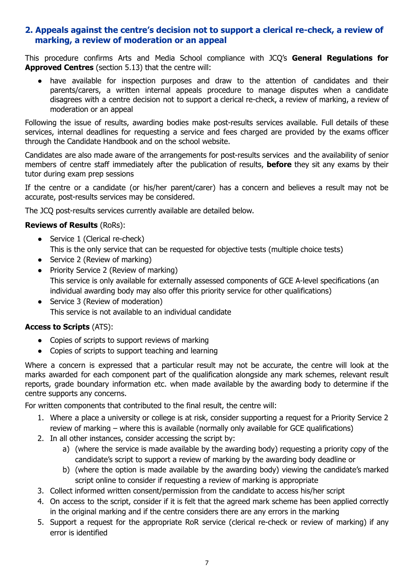#### **2. Appeals against the centre's decision not to support a clerical re-check, a review of marking, a review of moderation or an appeal**

This procedure confirms Arts and Media School compliance with JCQ's **General Regulations for Approved Centres** (section 5.13) that the centre will:

● have available for inspection purposes and draw to the attention of candidates and their parents/carers, a written internal appeals procedure to manage disputes when a candidate disagrees with a centre decision not to support a clerical re-check, a review of marking, a review of moderation or an appeal

Following the issue of results, awarding bodies make post-results services available. Full details of these services, internal deadlines for requesting a service and fees charged are provided by the exams officer through the Candidate Handbook and on the school website.

Candidates are also made aware of the arrangements for post-results services and the availability of senior members of centre staff immediately after the publication of results, **before** they sit any exams by their tutor during exam prep sessions

If the centre or a candidate (or his/her parent/carer) has a concern and believes a result may not be accurate, post-results services may be considered.

The JCQ post-results services currently available are detailed below.

#### **Reviews of Results** (RoRs):

- **●** Service 1 (Clerical re-check) This is the only service that can be requested for objective tests (multiple choice tests)
- **●** Service 2 (Review of marking)
- Priority Service 2 (Review of marking) This service is only available for externally assessed components of GCE A-level specifications (an individual awarding body may also offer this priority service for other qualifications)
- **●** Service 3 (Review of moderation) This service is not available to an individual candidate

#### **Access to Scripts** (ATS):

- Copies of scripts to support reviews of marking
- Copies of scripts to support teaching and learning

Where a concern is expressed that a particular result may not be accurate, the centre will look at the marks awarded for each component part of the qualification alongside any mark schemes, relevant result reports, grade boundary information etc. when made available by the awarding body to determine if the centre supports any concerns.

For written components that contributed to the final result, the centre will:

- 1. Where a place a university or college is at risk, consider supporting a request for a Priority Service 2 review of marking – where this is available (normally only available for GCE qualifications)
- 2. In all other instances, consider accessing the script by:
	- a) (where the service is made available by the awarding body) requesting a priority copy of the candidate's script to support a review of marking by the awarding body deadline or
	- b) (where the option is made available by the awarding body) viewing the candidate's marked script online to consider if requesting a review of marking is appropriate
- 3. Collect informed written consent/permission from the candidate to access his/her script
- 4. On access to the script, consider if it is felt that the agreed mark scheme has been applied correctly in the original marking and if the centre considers there are any errors in the marking
- 5. Support a request for the appropriate RoR service (clerical re-check or review of marking) if any error is identified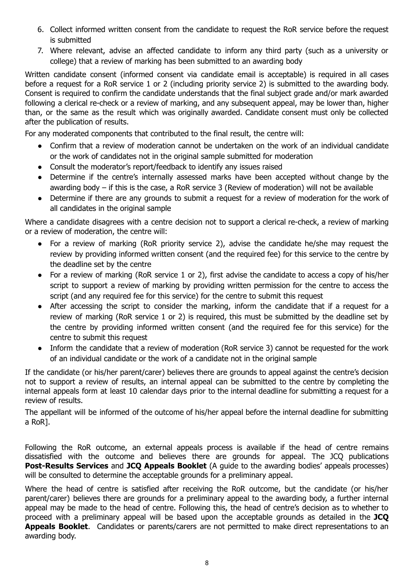- 6. Collect informed written consent from the candidate to request the RoR service before the request is submitted
- 7. Where relevant, advise an affected candidate to inform any third party (such as a university or college) that a review of marking has been submitted to an awarding body

Written candidate consent (informed consent via candidate email is acceptable) is required in all cases before a request for a RoR service 1 or 2 (including priority service 2) is submitted to the awarding body. Consent is required to confirm the candidate understands that the final subject grade and/or mark awarded following a clerical re-check or a review of marking, and any subsequent appeal, may be lower than, higher than, or the same as the result which was originally awarded. Candidate consent must only be collected after the publication of results.

For any moderated components that contributed to the final result, the centre will:

- Confirm that a review of moderation cannot be undertaken on the work of an individual candidate or the work of candidates not in the original sample submitted for moderation
- Consult the moderator's report/feedback to identify any issues raised
- Determine if the centre's internally assessed marks have been accepted without change by the awarding body – if this is the case, a RoR service 3 (Review of moderation) will not be available
- Determine if there are any grounds to submit a request for a review of moderation for the work of all candidates in the original sample

Where a candidate disagrees with a centre decision not to support a clerical re-check, a review of marking or a review of moderation, the centre will:

- **●** For a review of marking (RoR priority service 2), advise the candidate he/she may request the review by providing informed written consent (and the required fee) for this service to the centre by the deadline set by the centre
- **●** For a review of marking (RoR service 1 or 2), first advise the candidate to access a copy of his/her script to support a review of marking by providing written permission for the centre to access the script (and any required fee for this service) for the centre to submit this request
- **●** After accessing the script to consider the marking, inform the candidate that if a request for a review of marking (RoR service 1 or 2) is required, this must be submitted by the deadline set by the centre by providing informed written consent (and the required fee for this service) for the centre to submit this request
- **●** Inform the candidate that a review of moderation (RoR service 3) cannot be requested for the work of an individual candidate or the work of a candidate not in the original sample

If the candidate (or his/her parent/carer) believes there are grounds to appeal against the centre's decision not to support a review of results, an internal appeal can be submitted to the centre by completing the internal appeals form at least 10 calendar days prior to the internal deadline for submitting a request for a review of results.

The appellant will be informed of the outcome of his/her appeal before the internal deadline for submitting a RoR].

Following the RoR outcome, an external appeals process is available if the head of centre remains dissatisfied with the outcome and believes there are grounds for appeal. The JCQ publications **Post-Results Services** and **JCQ Appeals Booklet** (A guide to the awarding bodies' appeals processes) will be consulted to determine the acceptable grounds for a preliminary appeal.

Where the head of centre is satisfied after receiving the RoR outcome, but the candidate (or his/her parent/carer) believes there are grounds for a preliminary appeal to the awarding body, a further internal appeal may be made to the head of centre. Following this, the head of centre's decision as to whether to proceed with a preliminary appeal will be based upon the acceptable grounds as detailed in the **JCQ Appeals Booklet**. Candidates or parents/carers are not permitted to make direct representations to an awarding body.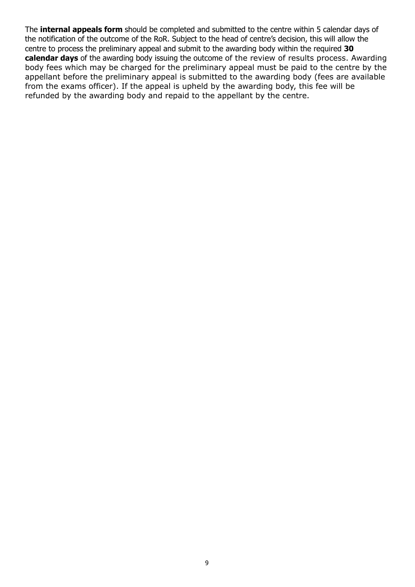The **internal appeals form** should be completed and submitted to the centre within 5 calendar days of the notification of the outcome of the RoR. Subject to the head of centre's decision, this will allow the centre to process the preliminary appeal and submit to the awarding body within the required **30 calendar days** of the awarding body issuing the outcome of the review of results process. Awarding body fees which may be charged for the preliminary appeal must be paid to the centre by the appellant before the preliminary appeal is submitted to the awarding body (fees are available from the exams officer). If the appeal is upheld by the awarding body, this fee will be refunded by the awarding body and repaid to the appellant by the centre.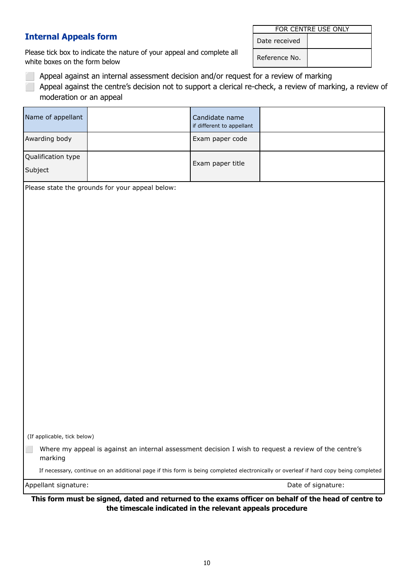#### **Internal Appeals form**

Please tick box to indicate the nature of your appeal and complete all white boxes on the form below

|               | FOR CENTRE USE ONLY |
|---------------|---------------------|
| Date received |                     |

Reference No.

- Appeal against an internal assessment decision and/or request for a review of marking
- Appeal against the centre's decision not to support a clerical re-check, a review of marking, a review of moderation or an appeal

|                               | Please state the grounds for your appeal below: |                                             |  |
|-------------------------------|-------------------------------------------------|---------------------------------------------|--|
| Qualification type<br>Subject |                                                 | Exam paper title                            |  |
| Awarding body                 |                                                 | Exam paper code                             |  |
| Name of appellant             |                                                 | Candidate name<br>if different to appellant |  |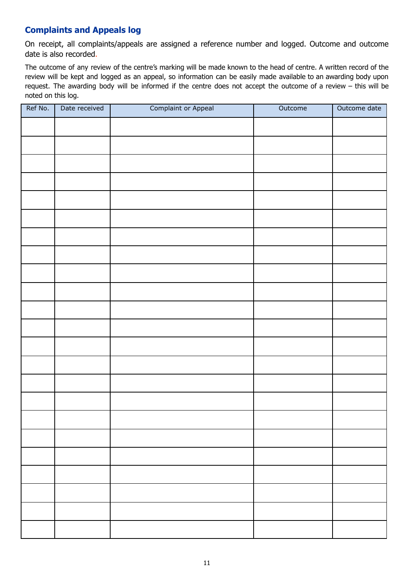#### **Complaints and Appeals log**

On receipt, all complaints/appeals are assigned a reference number and logged. Outcome and outcome date is also recorded.

The outcome of any review of the centre's marking will be made known to the head of centre. A written record of the review will be kept and logged as an appeal, so information can be easily made available to an awarding body upon request. The awarding body will be informed if the centre does not accept the outcome of a review – this will be noted on this log.

| Ref No. | Date received | <b>Complaint or Appeal</b> | Outcome | Outcome date |
|---------|---------------|----------------------------|---------|--------------|
|         |               |                            |         |              |
|         |               |                            |         |              |
|         |               |                            |         |              |
|         |               |                            |         |              |
|         |               |                            |         |              |
|         |               |                            |         |              |
|         |               |                            |         |              |
|         |               |                            |         |              |
|         |               |                            |         |              |
|         |               |                            |         |              |
|         |               |                            |         |              |
|         |               |                            |         |              |
|         |               |                            |         |              |
|         |               |                            |         |              |
|         |               |                            |         |              |
|         |               |                            |         |              |
|         |               |                            |         |              |
|         |               |                            |         |              |
|         |               |                            |         |              |
|         |               |                            |         |              |
|         |               |                            |         |              |
|         |               |                            |         |              |
|         |               |                            |         |              |